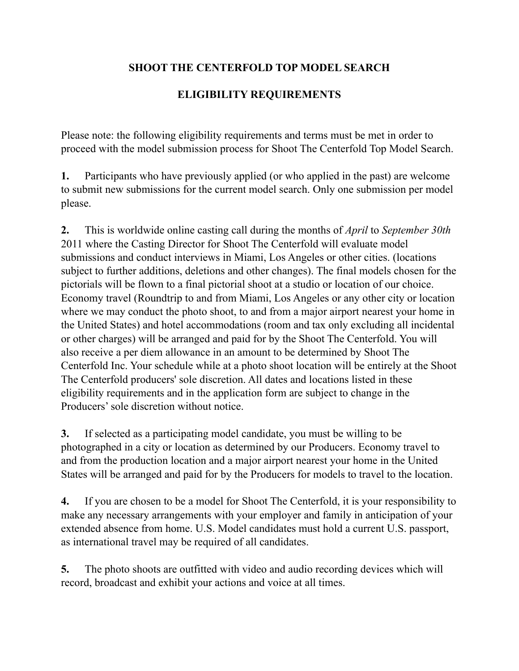## **SHOOT THE CENTERFOLD TOP MODEL SEARCH**

## **ELIGIBILITY REQUIREMENTS**

Please note: the following eligibility requirements and terms must be met in order to proceed with the model submission process for Shoot The Centerfold Top Model Search.

**1.** Participants who have previously applied (or who applied in the past) are welcome to submit new submissions for the current model search. Only one submission per model please.

**2.** This is worldwide online casting call during the months of *April* to *September 30th*  2011 where the Casting Director for Shoot The Centerfold will evaluate model submissions and conduct interviews in Miami, Los Angeles or other cities. (locations subject to further additions, deletions and other changes). The final models chosen for the pictorials will be flown to a final pictorial shoot at a studio or location of our choice. Economy travel (Roundtrip to and from Miami, Los Angeles or any other city or location where we may conduct the photo shoot, to and from a major airport nearest your home in the United States) and hotel accommodations (room and tax only excluding all incidental or other charges) will be arranged and paid for by the Shoot The Centerfold. You will also receive a per diem allowance in an amount to be determined by Shoot The Centerfold Inc. Your schedule while at a photo shoot location will be entirely at the Shoot The Centerfold producers' sole discretion. All dates and locations listed in these eligibility requirements and in the application form are subject to change in the Producers' sole discretion without notice.

**3.** If selected as a participating model candidate, you must be willing to be photographed in a city or location as determined by our Producers. Economy travel to and from the production location and a major airport nearest your home in the United States will be arranged and paid for by the Producers for models to travel to the location.

**4.** If you are chosen to be a model for Shoot The Centerfold, it is your responsibility to make any necessary arrangements with your employer and family in anticipation of your extended absence from home. U.S. Model candidates must hold a current U.S. passport, as international travel may be required of all candidates.

**5.** The photo shoots are outfitted with video and audio recording devices which will record, broadcast and exhibit your actions and voice at all times.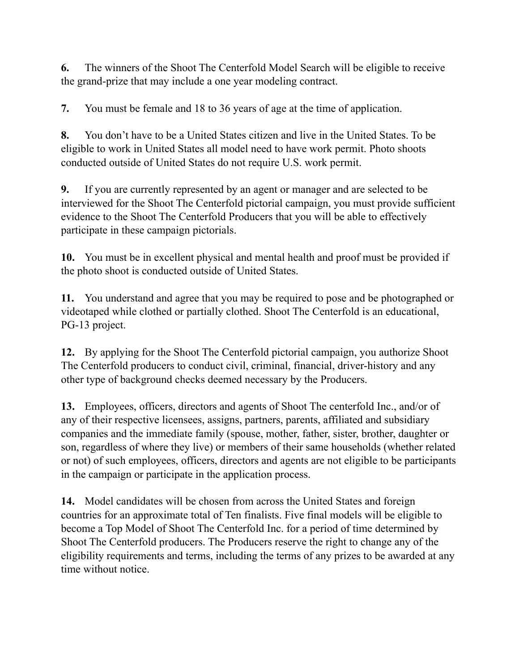**6.** The winners of the Shoot The Centerfold Model Search will be eligible to receive the grand-prize that may include a one year modeling contract.

**7.** You must be female and 18 to 36 years of age at the time of application.

**8.** You don't have to be a United States citizen and live in the United States. To be eligible to work in United States all model need to have work permit. Photo shoots conducted outside of United States do not require U.S. work permit.

**9.** If you are currently represented by an agent or manager and are selected to be interviewed for the Shoot The Centerfold pictorial campaign, you must provide sufficient evidence to the Shoot The Centerfold Producers that you will be able to effectively participate in these campaign pictorials.

**10.** You must be in excellent physical and mental health and proof must be provided if the photo shoot is conducted outside of United States.

**11.** You understand and agree that you may be required to pose and be photographed or videotaped while clothed or partially clothed. Shoot The Centerfold is an educational, PG-13 project.

**12.** By applying for the Shoot The Centerfold pictorial campaign, you authorize Shoot The Centerfold producers to conduct civil, criminal, financial, driver-history and any other type of background checks deemed necessary by the Producers.

**13.** Employees, officers, directors and agents of Shoot The centerfold Inc., and/or of any of their respective licensees, assigns, partners, parents, affiliated and subsidiary companies and the immediate family (spouse, mother, father, sister, brother, daughter or son, regardless of where they live) or members of their same households (whether related or not) of such employees, officers, directors and agents are not eligible to be participants in the campaign or participate in the application process.

**14.** Model candidates will be chosen from across the United States and foreign countries for an approximate total of Ten finalists. Five final models will be eligible to become a Top Model of Shoot The Centerfold Inc. for a period of time determined by Shoot The Centerfold producers. The Producers reserve the right to change any of the eligibility requirements and terms, including the terms of any prizes to be awarded at any time without notice.